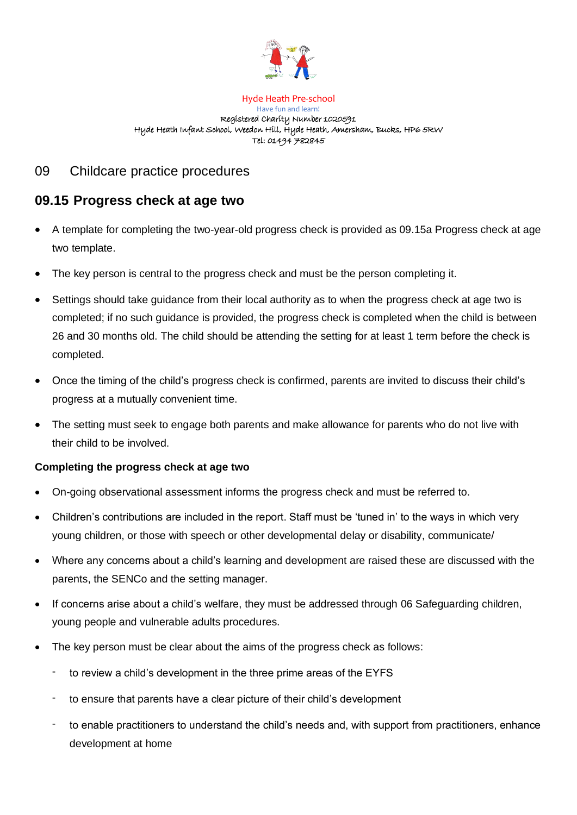

## Hyde Heath Pre-school Have fun and learn! Registered Charity Number 1020591 Hyde Heath Infant School, Weedon Hill, Hyde Heath, Amersham, Bucks, HP6 5RW Tel: 01494 782845

## 09 Childcare practice procedures

## **09.15 Progress check at age two**

- A template for completing the two-year-old progress check is provided as 09.15a Progress check at age two template.
- The key person is central to the progress check and must be the person completing it.
- Settings should take guidance from their local authority as to when the progress check at age two is completed; if no such guidance is provided, the progress check is completed when the child is between 26 and 30 months old. The child should be attending the setting for at least 1 term before the check is completed.
- Once the timing of the child's progress check is confirmed, parents are invited to discuss their child's progress at a mutually convenient time.
- The setting must seek to engage both parents and make allowance for parents who do not live with their child to be involved.

## **Completing the progress check at age two**

- On-going observational assessment informs the progress check and must be referred to.
- Children's contributions are included in the report. Staff must be 'tuned in' to the ways in which very young children, or those with speech or other developmental delay or disability, communicate/
- Where any concerns about a child's learning and development are raised these are discussed with the parents, the SENCo and the setting manager.
- If concerns arise about a child's welfare, they must be addressed through 06 Safeguarding children, young people and vulnerable adults procedures.
- The key person must be clear about the aims of the progress check as follows:
	- to review a child's development in the three prime areas of the EYFS
	- to ensure that parents have a clear picture of their child's development
	- to enable practitioners to understand the child's needs and, with support from practitioners, enhance development at home